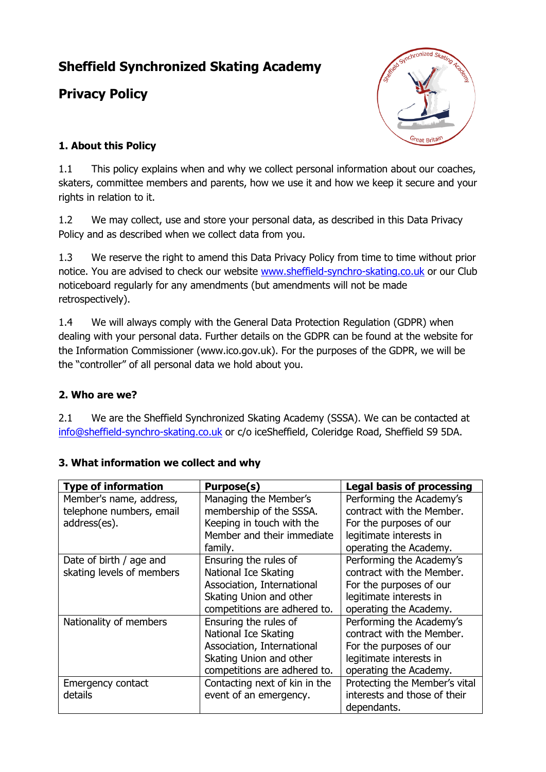# **Sheffield Synchronized Skating Academy**

# **Privacy Policy**



## **1. About this Policy**

1.1 This policy explains when and why we collect personal information about our coaches, skaters, committee members and parents, how we use it and how we keep it secure and your rights in relation to it.

1.2 We may collect, use and store your personal data, as described in this Data Privacy Policy and as described when we collect data from you.

1.3 We reserve the right to amend this Data Privacy Policy from time to time without prior notice. You are advised to check our website [www.sheffield-synchro-skating.co.uk](http://www.sheffield-synchro-skating.co.uk/) or our Club noticeboard regularly for any amendments (but amendments will not be made retrospectively).

1.4 We will always comply with the General Data Protection Regulation (GDPR) when dealing with your personal data. Further details on the GDPR can be found at the website for the Information Commissioner (www.ico.gov.uk). For the purposes of the GDPR, we will be the "controller" of all personal data we hold about you.

### **2. Who are we?**

2.1 We are the Sheffield Synchronized Skating Academy (SSSA). We can be contacted at [info@sheffield-synchro-skating.co.uk](mailto:info@sheffield-synchro-skating.co.uk) or c/o iceSheffield, Coleridge Road, Sheffield S9 5DA.

| <b>Type of information</b> | Purpose(s)                    | <b>Legal basis of processing</b> |
|----------------------------|-------------------------------|----------------------------------|
| Member's name, address,    | Managing the Member's         | Performing the Academy's         |
| telephone numbers, email   | membership of the SSSA.       | contract with the Member.        |
| address(es).               | Keeping in touch with the     | For the purposes of our          |
|                            | Member and their immediate    | legitimate interests in          |
|                            | family.                       | operating the Academy.           |
| Date of birth / age and    | Ensuring the rules of         | Performing the Academy's         |
| skating levels of members  | National Ice Skating          | contract with the Member.        |
|                            | Association, International    | For the purposes of our          |
|                            | Skating Union and other       | legitimate interests in          |
|                            | competitions are adhered to.  | operating the Academy.           |
| Nationality of members     | Ensuring the rules of         | Performing the Academy's         |
|                            | National Ice Skating          | contract with the Member.        |
|                            | Association, International    | For the purposes of our          |
|                            | Skating Union and other       | legitimate interests in          |
|                            | competitions are adhered to.  | operating the Academy.           |
| Emergency contact          | Contacting next of kin in the | Protecting the Member's vital    |
| details                    | event of an emergency.        | interests and those of their     |
|                            |                               | dependants.                      |

#### **3. What information we collect and why**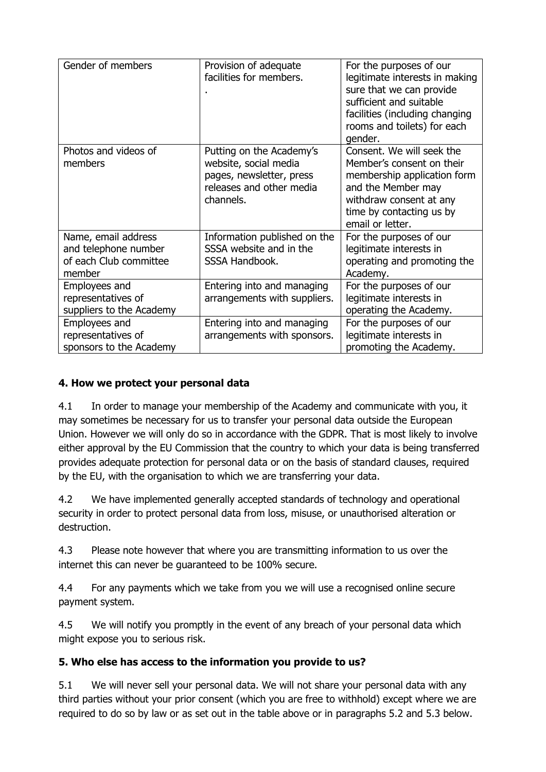| Gender of members                                                               | Provision of adequate<br>facilities for members.                                                                       | For the purposes of our<br>legitimate interests in making<br>sure that we can provide<br>sufficient and suitable<br>facilities (including changing<br>rooms and toilets) for each<br>gender. |
|---------------------------------------------------------------------------------|------------------------------------------------------------------------------------------------------------------------|----------------------------------------------------------------------------------------------------------------------------------------------------------------------------------------------|
| Photos and videos of<br>members                                                 | Putting on the Academy's<br>website, social media<br>pages, newsletter, press<br>releases and other media<br>channels. | Consent. We will seek the<br>Member's consent on their<br>membership application form<br>and the Member may<br>withdraw consent at any<br>time by contacting us by<br>email or letter.       |
| Name, email address<br>and telephone number<br>of each Club committee<br>member | Information published on the<br>SSSA website and in the<br>SSSA Handbook.                                              | For the purposes of our<br>legitimate interests in<br>operating and promoting the<br>Academy.                                                                                                |
| Employees and<br>representatives of<br>suppliers to the Academy                 | Entering into and managing<br>arrangements with suppliers.                                                             | For the purposes of our<br>legitimate interests in<br>operating the Academy.                                                                                                                 |
| Employees and<br>representatives of<br>sponsors to the Academy                  | Entering into and managing<br>arrangements with sponsors.                                                              | For the purposes of our<br>legitimate interests in<br>promoting the Academy.                                                                                                                 |

#### **4. How we protect your personal data**

4.1 In order to manage your membership of the Academy and communicate with you, it may sometimes be necessary for us to transfer your personal data outside the European Union. However we will only do so in accordance with the GDPR. That is most likely to involve either approval by the EU Commission that the country to which your data is being transferred provides adequate protection for personal data or on the basis of standard clauses, required by the EU, with the organisation to which we are transferring your data.

4.2 We have implemented generally accepted standards of technology and operational security in order to protect personal data from loss, misuse, or unauthorised alteration or destruction.

4.3 Please note however that where you are transmitting information to us over the internet this can never be guaranteed to be 100% secure.

4.4 For any payments which we take from you we will use a recognised online secure payment system.

4.5 We will notify you promptly in the event of any breach of your personal data which might expose you to serious risk.

#### **5. Who else has access to the information you provide to us?**

5.1 We will never sell your personal data. We will not share your personal data with any third parties without your prior consent (which you are free to withhold) except where we are required to do so by law or as set out in the table above or in paragraphs 5.2 and 5.3 below.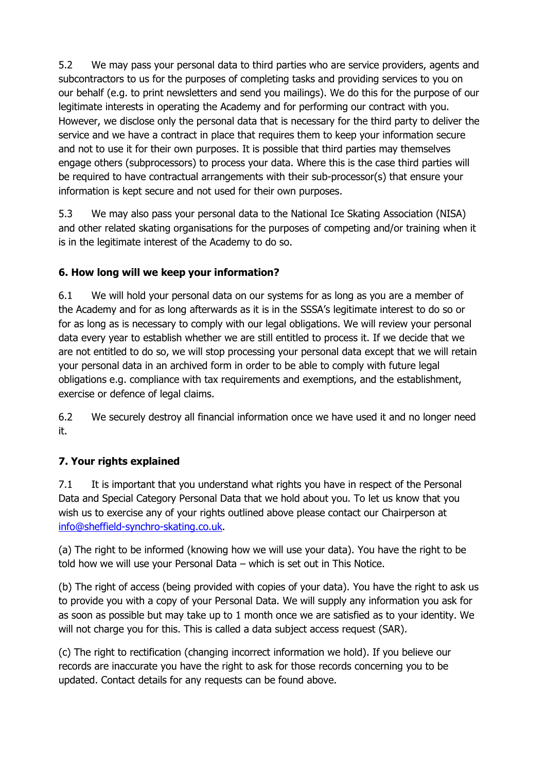5.2 We may pass your personal data to third parties who are service providers, agents and subcontractors to us for the purposes of completing tasks and providing services to you on our behalf (e.g. to print newsletters and send you mailings). We do this for the purpose of our legitimate interests in operating the Academy and for performing our contract with you. However, we disclose only the personal data that is necessary for the third party to deliver the service and we have a contract in place that requires them to keep your information secure and not to use it for their own purposes. It is possible that third parties may themselves engage others (subprocessors) to process your data. Where this is the case third parties will be required to have contractual arrangements with their sub-processor(s) that ensure your information is kept secure and not used for their own purposes.

5.3 We may also pass your personal data to the National Ice Skating Association (NISA) and other related skating organisations for the purposes of competing and/or training when it is in the legitimate interest of the Academy to do so.

### **6. How long will we keep your information?**

6.1 We will hold your personal data on our systems for as long as you are a member of the Academy and for as long afterwards as it is in the SSSA's legitimate interest to do so or for as long as is necessary to comply with our legal obligations. We will review your personal data every year to establish whether we are still entitled to process it. If we decide that we are not entitled to do so, we will stop processing your personal data except that we will retain your personal data in an archived form in order to be able to comply with future legal obligations e.g. compliance with tax requirements and exemptions, and the establishment, exercise or defence of legal claims.

6.2 We securely destroy all financial information once we have used it and no longer need it.

#### **7. Your rights explained**

7.1 It is important that you understand what rights you have in respect of the Personal Data and Special Category Personal Data that we hold about you. To let us know that you wish us to exercise any of your rights outlined above please contact our Chairperson at [info@sheffield-synchro-skating.co.uk.](mailto:info@sheffield-synchro-skating.co.uk)

(a) The right to be informed (knowing how we will use your data). You have the right to be told how we will use your Personal Data – which is set out in This Notice.

(b) The right of access (being provided with copies of your data). You have the right to ask us to provide you with a copy of your Personal Data. We will supply any information you ask for as soon as possible but may take up to 1 month once we are satisfied as to your identity. We will not charge you for this. This is called a data subject access request (SAR).

(c) The right to rectification (changing incorrect information we hold). If you believe our records are inaccurate you have the right to ask for those records concerning you to be updated. Contact details for any requests can be found above.